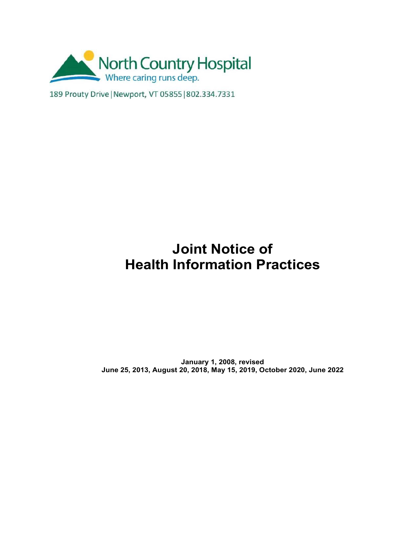

189 Prouty Drive | Newport, VT 05855 | 802.334.7331

# **Joint Notice of Health Information Practices**

**January 1, 2008, revised June 25, 2013, August 20, 2018, May 15, 2019, October 2020, June 2022**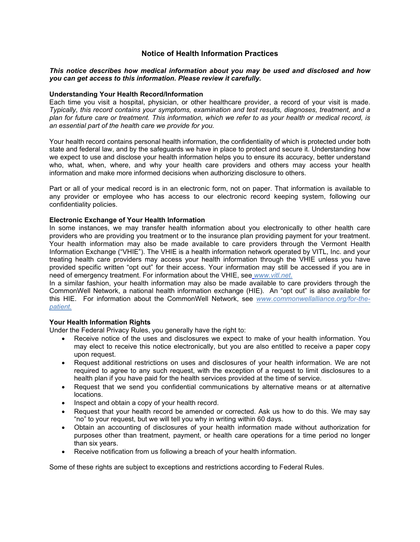## **Notice of Health Information Practices**

## *This notice describes how medical information about you may be used and disclosed and how you can get access to this information. Please review it carefully.*

## **Understanding Your Health Record/Information**

Each time you visit a hospital, physician, or other healthcare provider, a record of your visit is made. *Typically, this record contains your symptoms, examination and test results, diagnoses, treatment, and a plan for future care or treatment. This information, which we refer to as your health or medical record, is an essential part of the health care we provide for you.*

Your health record contains personal health information, the confidentiality of which is protected under both state and federal law, and by the safeguards we have in place to protect and secure it. Understanding how we expect to use and disclose your health information helps you to ensure its accuracy, better understand who, what, when, where, and why your health care providers and others may access your health information and make more informed decisions when authorizing disclosure to others.

Part or all of your medical record is in an electronic form, not on paper. That information is available to any provider or employee who has access to our electronic record keeping system, following our confidentiality policies.

## **Electronic Exchange of Your Health Information**

In some instances, we may transfer health information about you electronically to other health care providers who are providing you treatment or to the insurance plan providing payment for your treatment. Your health information may also be made available to care providers through the Vermont Health Information Exchange ("VHIE"). The VHIE is a health information network operated by VITL, Inc. and your treating health care providers may access your health information through the VHIE unless you have provided specific written "opt out" for their access. Your information may still be accessed if you are in need of emergency treatment. For information about the VHIE, se[e](http://www.vitl.net/) *www.vitl.net*.

In a similar fashion, your health information may also be made available to care providers through the CommonWell Network, a national health information exchange (HIE). An "opt out" is also available for this HIE. For information about the CommonWell Network, see *www.commonwellalliance.org/for-thepatient.*

## **Your Health Information Rights**

Under the Federal Privacy Rules, you generally have the right to:

- Receive notice of the uses and disclosures we expect to make of your health information. You may elect to receive this notice electronically, but you are also entitled to receive a paper copy upon request.
- Request additional restrictions on uses and disclosures of your health information. We are not required to agree to any such request, with the exception of a request to limit disclosures to a health plan if you have paid for the health services provided at the time of service.
- Request that we send you confidential communications by alternative means or at alternative locations.
- Inspect and obtain a copy of your health record.
- Request that your health record be amended or corrected. Ask us how to do this. We may say "no" to your request, but we will tell you why in writing within 60 days.
- Obtain an accounting of disclosures of your health information made without authorization for purposes other than treatment, payment, or health care operations for a time period no longer than six years.
- Receive notification from us following a breach of your health information.

Some of these rights are subject to exceptions and restrictions according to Federal Rules.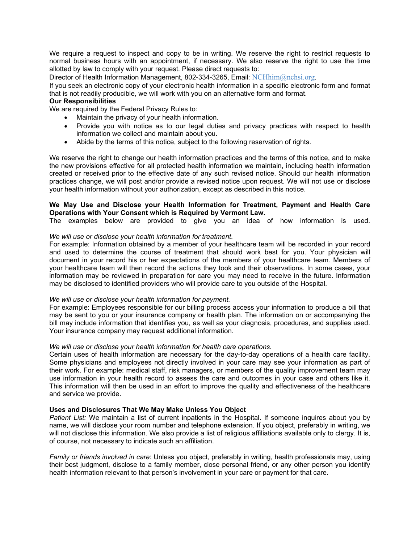We require a request to inspect and copy to be in writing. We reserve the right to restrict requests to normal business hours with an appointment, if necessary. We also reserve the right to use the time allotted by law to comply with your request. Please direct requests to:

Director of Health Information Management, 802-334-3265, Email: [NCHhim@nchsi.org.](mailto:NCHhim@nchsi.org)

If you seek an electronic copy of your electronic health information in a specific electronic form and format that is not readily producible, we will work with you on an alternative form and format.

## **Our Responsibilities**

We are required by the Federal Privacy Rules to:

- Maintain the privacy of your health information.
- Provide you with notice as to our legal duties and privacy practices with respect to health information we collect and maintain about you.
- Abide by the terms of this notice, subject to the following reservation of rights.

We reserve the right to change our health information practices and the terms of this notice, and to make the new provisions effective for all protected health information we maintain, including health information created or received prior to the effective date of any such revised notice. Should our health information practices change, we will post and/or provide a revised notice upon request. We will not use or disclose your health information without your authorization, except as described in this notice.

## **We May Use and Disclose your Health Information for Treatment, Payment and Health Care Operations with Your Consent which is Required by Vermont Law.**

The examples below are provided to give you an idea of how information is used.

## *We will use or disclose your health information for treatment.*

For example: Information obtained by a member of your healthcare team will be recorded in your record and used to determine the course of treatment that should work best for you. Your physician will document in your record his or her expectations of the members of your healthcare team. Members of your healthcare team will then record the actions they took and their observations. In some cases, your information may be reviewed in preparation for care you may need to receive in the future. Information may be disclosed to identified providers who will provide care to you outside of the Hospital.

#### *We will use or disclose your health information for payment.*

For example: Employees responsible for our billing process access your information to produce a bill that may be sent to you or your insurance company or health plan. The information on or accompanying the bill may include information that identifies you, as well as your diagnosis, procedures, and supplies used. Your insurance company may request additional information.

#### *We will use or disclose your health information for health care operations.*

Certain uses of health information are necessary for the day-to-day operations of a health care facility. Some physicians and employees not directly involved in your care may see your information as part of their work. For example: medical staff, risk managers, or members of the quality improvement team may use information in your health record to assess the care and outcomes in your case and others like it. This information will then be used in an effort to improve the quality and effectiveness of the healthcare and service we provide.

#### **Uses and Disclosures That We May Make Unless You Object**

*Patient List:* We maintain a list of current inpatients in the Hospital. If someone inquires about you by name, we will disclose your room number and telephone extension. If you object, preferably in writing, we will not disclose this information. We also provide a list of religious affiliations available only to clergy. It is, of course, not necessary to indicate such an affiliation.

*Family or friends involved in care*: Unless you object, preferably in writing, health professionals may, using their best judgment, disclose to a family member, close personal friend, or any other person you identify health information relevant to that person's involvement in your care or payment for that care.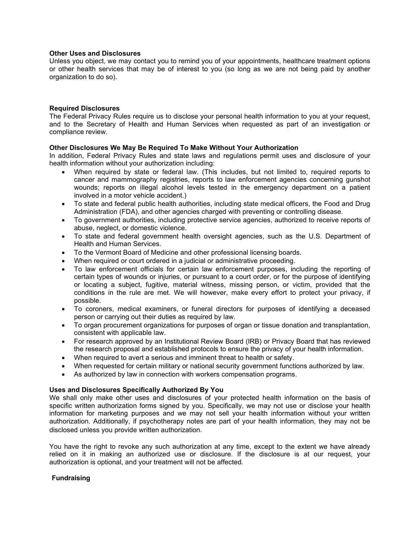## **Other Uses and Disclosures**

Unless you object, we may contact you to remind you of your appointments, healthcare treatment options or other health services that may be of interest to you (so long as we are not being paid by another organization to do so).

## **Required Disclosures**

The Federal Privacy Rules require us to disclose your personal health information to you at your request, and to the Secretary of Health and Human Services when requested as part of an investigation or compliance review.

## **Other Disclosures We May Be Required To Make Without Your Authorization**

In addition, Federal Privacy Rules and state laws and regulations permit uses and disclosure of your health information without your authorization including:

- When required by state or federal law. (This includes, but not limited to, required reports to cancer and mammography registries, reports to law enforcement agencies concerning gunshot wounds; reports on illegal alcohol levels tested in the emergency department on a patient involved in a motor vehicle accident.)
- To state and federal public health authorities, including state medical officers, the Food and Drug Administration (FDA), and other agencies charged with preventing or controlling disease.
- To government authorities, including protective service agencies, authorized to receive reports of abuse, neglect, or domestic violence.
- To state and federal government health oversight agencies, such as the U.S. Department of Health and Human Services.
- To the Vermont Board of Medicine and other professional licensing boards.
- When required or court ordered in a judicial or administrative proceeding.
- To law enforcement officials for certain law enforcement purposes, including the reporting of certain types of wounds or injuries, or pursuant to a court order, or for the purpose of identifying or locating a subject, fugitive, material witness, missing person, or victim, provided that the conditions in the rule are met. We will however, make every effort to protect your privacy, if possible.
- To coroners, medical examiners, or funeral directors for purposes of identifying a deceased person or carrying out their duties as required by law.
- To organ procurement organizations for purposes of organ or tissue donation and transplantation, consistent with applicable law.
- For research approved by an Institutional Review Board (IRB) or Privacy Board that has reviewed the research proposal and established protocols to ensure the privacy of your health information.
- When required to avert a serious and imminent threat to health or safety.
- When requested for certain military or national security government functions authorized by law.
- As authorized by law in connection with workers compensation programs.

## **Uses and Disclosures Specifically Authorized By You**

We shall only make other uses and disclosures of your protected health information on the basis of specific written authorization forms signed by you. Specifically, we may not use or disclose your health information for marketing purposes and we may not sell your health information without your written authorization. Additionally, if psychotherapy notes are part of your health information, they may not be disclosed unless you provide written authorization.

You have the right to revoke any such authorization at any time, except to the extent we have already relied on it in making an authorized use or disclosure. If the disclosure is at our request, your authorization is optional, and your treatment will not be affected.

## **Fundraising**